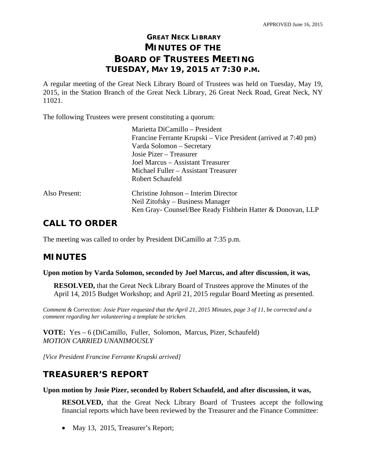## **GREAT NECK LIBRARY MINUTES OF THE BOARD OF TRUSTEES MEETING TUESDAY, MAY 19, 2015 AT 7:30 P.M.**

A regular meeting of the Great Neck Library Board of Trustees was held on Tuesday, May 19, 2015, in the Station Branch of the Great Neck Library, 26 Great Neck Road, Great Neck, NY 11021.

The following Trustees were present constituting a quorum:

|               | Marietta DiCamillo - President                                  |
|---------------|-----------------------------------------------------------------|
|               | Francine Ferrante Krupski – Vice President (arrived at 7:40 pm) |
|               | Varda Solomon – Secretary                                       |
|               | Josie Pizer – Treasurer                                         |
|               | Joel Marcus - Assistant Treasurer                               |
|               | Michael Fuller – Assistant Treasurer                            |
|               | Robert Schaufeld                                                |
| Also Present: | Christine Johnson – Interim Director                            |
|               | Neil Zitofsky – Business Manager                                |
|               | Ken Gray- Counsel/Bee Ready Fishbein Hatter & Donovan, LLP      |
|               |                                                                 |

## **CALL TO ORDER**

The meeting was called to order by President DiCamillo at 7:35 p.m.

## **MINUTES**

## **Upon motion by Varda Solomon, seconded by Joel Marcus, and after discussion, it was,**

**RESOLVED,** that the Great Neck Library Board of Trustees approve the Minutes of the April 14, 2015 Budget Workshop; and April 21, 2015 regular Board Meeting as presented.

*Comment & Correction: Josie Pizer requested that the April 21, 2015 Minutes, page 3 of 11, be corrected and a comment regarding her volunteering a template be stricken.* 

**VOTE:** Yes – 6 (DiCamillo, Fuller, Solomon, Marcus, Pizer, Schaufeld) *MOTION CARRIED UNANIMOUSLY* 

*[Vice President Francine Ferrante Krupski arrived]*

## **TREASURER'S REPORT**

#### **Upon motion by Josie Pizer, seconded by Robert Schaufeld, and after discussion, it was,**

**RESOLVED,** that the Great Neck Library Board of Trustees accept the following financial reports which have been reviewed by the Treasurer and the Finance Committee:

• May 13, 2015, Treasurer's Report;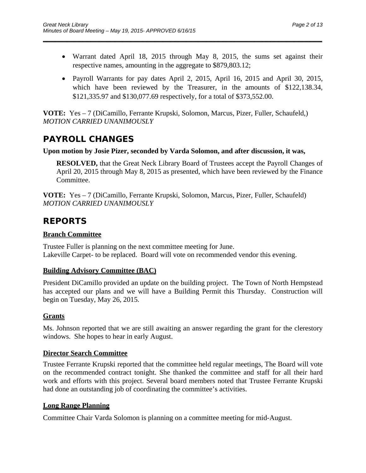Warrant dated April 18, 2015 through May 8, 2015, the sums set against their respective names, amounting in the aggregate to \$879,803.12;

\_\_\_\_\_\_\_\_\_\_\_\_\_\_\_\_\_\_\_\_\_\_\_\_\_\_\_\_\_\_\_\_\_\_\_\_\_\_\_\_\_\_\_\_\_\_\_\_\_\_\_\_\_\_\_\_\_\_\_\_\_\_\_\_\_\_\_\_\_\_

• Payroll Warrants for pay dates April 2, 2015, April 16, 2015 and April 30, 2015, which have been reviewed by the Treasurer, in the amounts of \$122,138.34, \$121,335.97 and \$130,077.69 respectively, for a total of \$373,552.00.

**VOTE:** Yes – 7 (DiCamillo, Ferrante Krupski, Solomon, Marcus, Pizer, Fuller, Schaufeld,) *MOTION CARRIED UNANIMOUSLY* 

## **PAYROLL CHANGES**

## **Upon motion by Josie Pizer, seconded by Varda Solomon, and after discussion, it was,**

**RESOLVED,** that the Great Neck Library Board of Trustees accept the Payroll Changes of April 20, 2015 through May 8, 2015 as presented, which have been reviewed by the Finance Committee.

**VOTE:** Yes – 7 (DiCamillo, Ferrante Krupski, Solomon, Marcus, Pizer, Fuller, Schaufeld) *MOTION CARRIED UNANIMOUSLY* 

## **REPORTS**

## **Branch Committee**

Trustee Fuller is planning on the next committee meeting for June. Lakeville Carpet- to be replaced. Board will vote on recommended vendor this evening.

## **Building Advisory Committee (BAC)**

President DiCamillo provided an update on the building project. The Town of North Hempstead has accepted our plans and we will have a Building Permit this Thursday. Construction will begin on Tuesday, May 26, 2015.

## **Grants**

Ms. Johnson reported that we are still awaiting an answer regarding the grant for the clerestory windows. She hopes to hear in early August.

## **Director Search Committee**

Trustee Ferrante Krupski reported that the committee held regular meetings, The Board will vote on the recommended contract tonight. She thanked the committee and staff for all their hard work and efforts with this project. Several board members noted that Trustee Ferrante Krupski had done an outstanding job of coordinating the committee's activities.

## **Long Range Planning**

Committee Chair Varda Solomon is planning on a committee meeting for mid-August.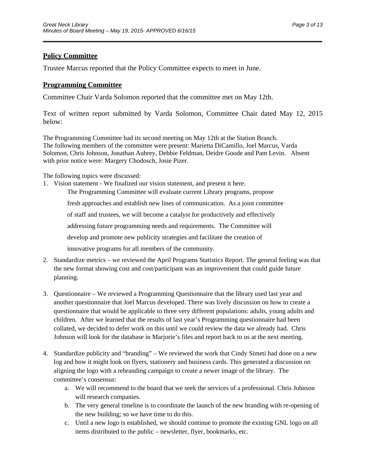## **Policy Committee**

Trustee Marcus reported that the Policy Committee expects to meet in June.

## **Programming Committee**

Committee Chair Varda Solomon reported that the committee met on May 12th.

Text of written report submitted by Varda Solomon, Committee Chair dated May 12, 2015 below:

\_\_\_\_\_\_\_\_\_\_\_\_\_\_\_\_\_\_\_\_\_\_\_\_\_\_\_\_\_\_\_\_\_\_\_\_\_\_\_\_\_\_\_\_\_\_\_\_\_\_\_\_\_\_\_\_\_\_\_\_\_\_\_\_\_\_\_\_\_\_

The Programming Committee had its second meeting on May 12th at the Station Branch. The following members of the committee were present: Marietta DiCamillo, Joel Marcus, Varda Solomon, Chris Johnson, Jonathan Aubrey, Debbie Feldman, Deidre Goode and Pam Levin. Absent with prior notice were: Margery Chodosch, Josie Pizer.

The following topics were discussed:

- 1. Vision statement We finalized our vision statement, and present it here. The Programming Committee will evaluate current Library programs, propose fresh approaches and establish new lines of communication. As a joint committee of staff and trustees, we will become a catalyst for productively and effectively addressing future programming needs and requirements. The Committee will develop and promote new publicity strategies and facilitate the creation of innovative programs for all members of the community.
- 2. Standardize metrics we reviewed the April Programs Statistics Report. The general feeling was that the new format showing cost and cost/participant was an improvement that could guide future planning.
- 3. Questionnaire We reviewed a Programming Questionnaire that the library used last year and another questionnaire that Joel Marcus developed. There was lively discussion on how to create a questionnaire that would be applicable to three very different populations: adults, young adults and children. After we learned that the results of last year's Programming questionnaire had been collated, we decided to defer work on this until we could review the data we already had. Chris Johnson will look for the database in Marjorie's files and report back to us at the next meeting.
- 4. Standardize publicity and "branding" We reviewed the work that Cindy Simeti had done on a new log and how it might look on flyers, stationery and business cards. This generated a discussion on aligning the logo with a rebranding campaign to create a newer image of the library. The committee's consensus:
	- a. We will recommend to the board that we seek the services of a professional. Chris Johnson will research companies.
	- b. The very general timeline is to coordinate the launch of the new branding with re-opening of the new building; so we have time to do this.
	- c. Until a new logo is established, we should continue to promote the existing GNL logo on all items distributed to the public – newsletter, flyer, bookmarks, etc.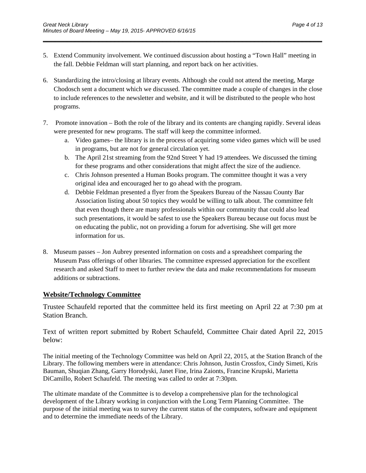5. Extend Community involvement. We continued discussion about hosting a "Town Hall" meeting in the fall. Debbie Feldman will start planning, and report back on her activities.

\_\_\_\_\_\_\_\_\_\_\_\_\_\_\_\_\_\_\_\_\_\_\_\_\_\_\_\_\_\_\_\_\_\_\_\_\_\_\_\_\_\_\_\_\_\_\_\_\_\_\_\_\_\_\_\_\_\_\_\_\_\_\_\_\_\_\_\_\_\_

- 6. Standardizing the intro/closing at library events. Although she could not attend the meeting, Marge Chodosch sent a document which we discussed. The committee made a couple of changes in the close to include references to the newsletter and website, and it will be distributed to the people who host programs.
- 7. Promote innovation Both the role of the library and its contents are changing rapidly. Several ideas were presented for new programs. The staff will keep the committee informed.
	- a. Video games– the library is in the process of acquiring some video games which will be used in programs, but are not for general circulation yet.
	- b. The April 21st streaming from the 92nd Street Y had 19 attendees. We discussed the timing for these programs and other considerations that might affect the size of the audience.
	- c. Chris Johnson presented a Human Books program. The committee thought it was a very original idea and encouraged her to go ahead with the program.
	- d. Debbie Feldman presented a flyer from the Speakers Bureau of the Nassau County Bar Association listing about 50 topics they would be willing to talk about. The committee felt that even though there are many professionals within our community that could also lead such presentations, it would be safest to use the Speakers Bureau because out focus must be on educating the public, not on providing a forum for advertising. She will get more information for us.
- 8. Museum passes Jon Aubrey presented information on costs and a spreadsheet comparing the Museum Pass offerings of other libraries. The committee expressed appreciation for the excellent research and asked Staff to meet to further review the data and make recommendations for museum additions or subtractions.

## **Website/Technology Committee**

Trustee Schaufeld reported that the committee held its first meeting on April 22 at 7:30 pm at Station Branch.

Text of written report submitted by Robert Schaufeld, Committee Chair dated April 22, 2015 below:

The initial meeting of the Technology Committee was held on April 22, 2015, at the Station Branch of the Library. The following members were in attendance: Chris Johnson, Justin Crossfox, Cindy Simeti, Kris Bauman, Shuqian Zhang, Garry Horodyski, Janet Fine, Irina Zaionts, Francine Krupski, Marietta DiCamillo, Robert Schaufeld. The meeting was called to order at 7:30pm.

The ultimate mandate of the Committee is to develop a comprehensive plan for the technological development of the Library working in conjunction with the Long Term Planning Committee. The purpose of the initial meeting was to survey the current status of the computers, software and equipment and to determine the immediate needs of the Library.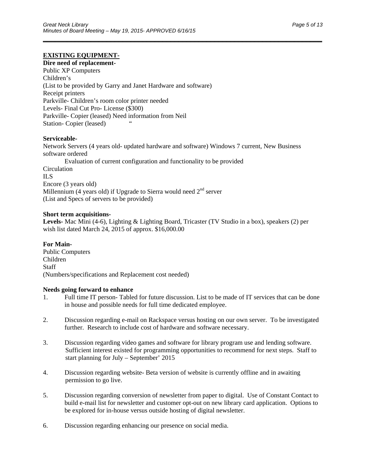### **EXISTING EQUIPMENT-**

### **Dire need of replacement-**

Public XP Computers Children's (List to be provided by Garry and Janet Hardware and software) Receipt printers Parkville- Children's room color printer needed Levels- Final Cut Pro- License (\$300) Parkville- Copier (leased) Need information from Neil Station- Copier (leased) "

#### **Serviceable-**

Network Servers (4 years old- updated hardware and software) Windows 7 current, New Business software ordered Evaluation of current configuration and functionality to be provided **Circulation** ILS Encore (3 years old) Millennium (4 years old) if Upgrade to Sierra would need  $2<sup>nd</sup>$  server (List and Specs of servers to be provided)

\_\_\_\_\_\_\_\_\_\_\_\_\_\_\_\_\_\_\_\_\_\_\_\_\_\_\_\_\_\_\_\_\_\_\_\_\_\_\_\_\_\_\_\_\_\_\_\_\_\_\_\_\_\_\_\_\_\_\_\_\_\_\_\_\_\_\_\_\_\_

#### **Short term acquisitions-**

**Levels-** Mac Mini (4-6), Lighting & Lighting Board, Tricaster (TV Studio in a box), speakers (2) per wish list dated March 24, 2015 of approx. \$16,000.00

# **For Main-**

Public Computers Children Staff (Numbers/specifications and Replacement cost needed)

#### **Needs going forward to enhance**

- 1. Full time IT person- Tabled for future discussion. List to be made of IT services that can be done in house and possible needs for full time dedicated employee.
- 2. Discussion regarding e-mail on Rackspace versus hosting on our own server. To be investigated further. Research to include cost of hardware and software necessary.
- 3. Discussion regarding video games and software for library program use and lending software. Sufficient interest existed for programming opportunities to recommend for next steps. Staff to start planning for July – September' 2015
- 4. Discussion regarding website- Beta version of website is currently offline and in awaiting permission to go live.
- 5. Discussion regarding conversion of newsletter from paper to digital. Use of Constant Contact to build e-mail list for newsletter and customer opt-out on new library card application. Options to be explored for in-house versus outside hosting of digital newsletter.
- 6. Discussion regarding enhancing our presence on social media.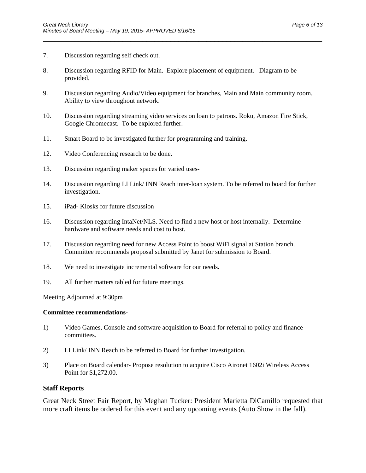- \_\_\_\_\_\_\_\_\_\_\_\_\_\_\_\_\_\_\_\_\_\_\_\_\_\_\_\_\_\_\_\_\_\_\_\_\_\_\_\_\_\_\_\_\_\_\_\_\_\_\_\_\_\_\_\_\_\_\_\_\_\_\_\_\_\_\_\_\_\_
- 7. Discussion regarding self check out.
- 8. Discussion regarding RFID for Main. Explore placement of equipment. Diagram to be provided.
- 9. Discussion regarding Audio/Video equipment for branches, Main and Main community room. Ability to view throughout network.
- 10. Discussion regarding streaming video services on loan to patrons. Roku, Amazon Fire Stick, Google Chromecast. To be explored further.
- 11. Smart Board to be investigated further for programming and training.
- 12. Video Conferencing research to be done.
- 13. Discussion regarding maker spaces for varied uses-
- 14. Discussion regarding LI Link/ INN Reach inter-loan system. To be referred to board for further investigation.
- 15. iPad- Kiosks for future discussion
- 16. Discussion regarding IntaNet/NLS. Need to find a new host or host internally. Determine hardware and software needs and cost to host.
- 17. Discussion regarding need for new Access Point to boost WiFi signal at Station branch. Committee recommends proposal submitted by Janet for submission to Board.
- 18. We need to investigate incremental software for our needs.
- 19. All further matters tabled for future meetings.

Meeting Adjourned at 9:30pm

#### **Committee recommendations-**

- 1) Video Games, Console and software acquisition to Board for referral to policy and finance committees.
- 2) LI Link/ INN Reach to be referred to Board for further investigation.
- 3) Place on Board calendar- Propose resolution to acquire Cisco Aironet 1602i Wireless Access Point for \$1,272.00.

#### **Staff Reports**

Great Neck Street Fair Report, by Meghan Tucker: President Marietta DiCamillo requested that more craft items be ordered for this event and any upcoming events (Auto Show in the fall).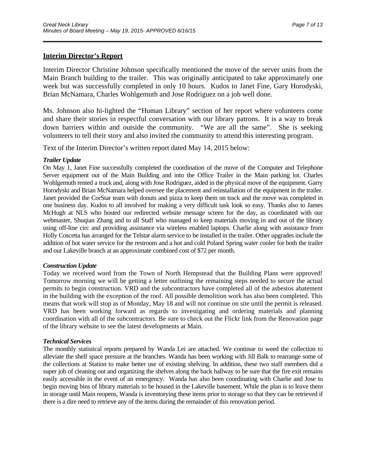### **Interim Director's Report**

Interim Director Christine Johnson specifically mentioned the move of the server units from the Main Branch building to the trailer. This was originally anticipated to take approximately one week but was successfully completed in only 10 hours. Kudos to Janet Fine, Gary Horodyski, Brian McNamara, Charles Wohlgemuth and Jose Rodriguez on a job well done.

\_\_\_\_\_\_\_\_\_\_\_\_\_\_\_\_\_\_\_\_\_\_\_\_\_\_\_\_\_\_\_\_\_\_\_\_\_\_\_\_\_\_\_\_\_\_\_\_\_\_\_\_\_\_\_\_\_\_\_\_\_\_\_\_\_\_\_\_\_\_

Ms. Johnson also hi-lighted the "Human Library" section of her report where volunteers come and share their stories in respectful conversation with our library patrons. It is a way to break down barriers within and outside the community. "We are all the same". She is seeking volunteers to tell their story and also invited the community to attend this interesting program.

Text of the Interim Director's written report dated May 14, 2015 below:

#### *Trailer Update*

On May 1, Janet Fine successfully completed the coordination of the move of the Computer and Telephone Server equipment out of the Main Building and into the Office Trailer in the Main parking lot. Charles Wohlgemuth rented a truck and, along with Jose Rodriguez, aided in the physical move of the equipment. Garry Horodyski and Brian McNamara helped oversee the placement and reinstallation of the equipment in the trailer. Janet provided the CorStar team with donuts and pizza to keep them on track and the move was completed in one business day. Kudos to all involved for making a very difficult task look so easy. Thanks also to James McHugh at NLS who hosted our redirected website message screen for the day, as coordinated with our webmaster, Shuqian Zhang and to all Staff who managed to keep materials moving in and out of the library using off-line circ and providing assistance via wireless enabled laptops. Charlie along with assistance from Holly Coscetta has arranged for the Telstar alarm service to be installed in the trailer. Other upgrades include the addition of hot water service for the restroom and a hot and cold Poland Spring water cooler for both the trailer and our Lakeville branch at an approximate combined cost of \$72 per month.

#### *Construction Update*

Today we received word from the Town of North Hempstead that the Building Plans were approved! Tomorrow morning we will be getting a letter outlining the remaining steps needed to secure the actual permits to begin construction. VRD and the subcontractors have completed all of the asbestos abatement in the building with the exception of the roof. All possible demolition work has also been completed. This means that work will stop as of Monday, May 18 and will not continue on site until the permit is released. VRD has been working forward as regards to investigating and ordering materials and planning coordination with all of the subcontractors. Be sure to check out the Flickr link from the Renovation page of the library website to see the latest developments at Main.

#### *Technical Services*

The monthly statistical reports prepared by Wanda Lei are attached. We continue to weed the collection to alleviate the shelf space pressure at the branches. Wanda has been working with Jill Balk to rearrange some of the collections at Station to make better use of existing shelving. In addition, these two staff members did a super job of cleaning out and organizing the shelves along the back hallway to be sure that the fire exit remains easily accessible in the event of an emergency. Wanda has also been coordinating with Charlie and Jose to begin moving bins of library materials to be housed in the Lakeville basement. While the plan is to leave them in storage until Main reopens, Wanda is inventorying these items prior to storage so that they can be retrieved if there is a dire need to retrieve any of the items during the remainder of this renovation period.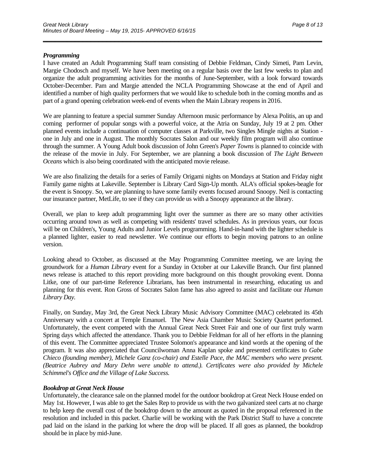#### *Programming*

I have created an Adult Programming Staff team consisting of Debbie Feldman, Cindy Simeti, Pam Levin, Margie Chodosch and myself. We have been meeting on a regular basis over the last few weeks to plan and organize the adult programming activities for the months of June-September, with a look forward towards October-December. Pam and Margie attended the NCLA Programming Showcase at the end of April and identified a number of high quality performers that we would like to schedule both in the coming months and as part of a grand opening celebration week-end of events when the Main Library reopens in 2016.

\_\_\_\_\_\_\_\_\_\_\_\_\_\_\_\_\_\_\_\_\_\_\_\_\_\_\_\_\_\_\_\_\_\_\_\_\_\_\_\_\_\_\_\_\_\_\_\_\_\_\_\_\_\_\_\_\_\_\_\_\_\_\_\_\_\_\_\_\_\_

We are planning to feature a special summer Sunday Afternoon music performance by Alexa Politis, an up and coming performer of popular songs with a powerful voice, at the Atria on Sunday, July 19 at 2 pm. Other planned events include a continuation of computer classes at Parkville, two Singles Mingle nights at Station one in July and one in August. The monthly Socrates Salon and our weekly film program will also continue through the summer. A Young Adult book discussion of John Green's *Paper Towns* is planned to coincide with the release of the movie in July. For September, we are planning a book discussion of *The Light Between Oceans* which is also being coordinated with the anticipated movie release.

We are also finalizing the details for a series of Family Origami nights on Mondays at Station and Friday night Family game nights at Lakeville. September is Library Card Sign-Up month. ALA's official spokes-beagle for the event is Snoopy. So, we are planning to have some family events focused around Snoopy. Neil is contacting our insurance partner, MetLife, to see if they can provide us with a Snoopy appearance at the library.

Overall, we plan to keep adult programming light over the summer as there are so many other activities occurring around town as well as competing with residents' travel schedules. As in previous years, our focus will be on Children's, Young Adults and Junior Levels programming. Hand-in-hand with the lighter schedule is a planned lighter, easier to read newsletter. We continue our efforts to begin moving patrons to an online version.

Looking ahead to October, as discussed at the May Programming Committee meeting, we are laying the groundwork for a *Human Library* event for a Sunday in October at our Lakeville Branch. Our first planned news release is attached to this report providing more background on this thought provoking event. Donna Litke, one of our part-time Reference Librarians, has been instrumental in researching, educating us and planning for this event. Ron Gross of Socrates Salon fame has also agreed to assist and facilitate our *Human Library Day.* 

Finally, on Sunday, May 3rd, the Great Neck Library Music Advisory Committee (MAC) celebrated its 45th Anniversary with a concert at Temple Emanuel. The New Asia Chamber Music Society Quartet performed. Unfortunately, the event competed with the Annual Great Neck Street Fair and one of our first truly warm Spring days which affected the attendance. Thank you to Debbie Feldman for all of her efforts in the planning of this event. The Committee appreciated Trustee Solomon's appearance and kind words at the opening of the program. It was also appreciated that Councilwoman Anna Kaplan spoke and presented certificates to *Gabe Chieco (founding member), Michele Ganz (co-chair) and Estelle Pace, the MAC members who were present. (Beatrice Aubrey and Mary Dehn were unable to attend.). Certificates were also provided by Michele Schimmel's Office and the Village of Lake Success.*

#### *Bookdrop at Great Neck House*

Unfortunately, the clearance sale on the planned model for the outdoor bookdrop at Great Neck House ended on May 1st. However, I was able to get the Sales Rep to provide us with the two galvanized steel carts at no charge to help keep the overall cost of the bookdrop down to the amount as quoted in the proposal referenced in the resolution and included in this packet. Charlie will be working with the Park District Staff to have a concrete pad laid on the island in the parking lot where the drop will be placed. If all goes as planned, the bookdrop should be in place by mid-June.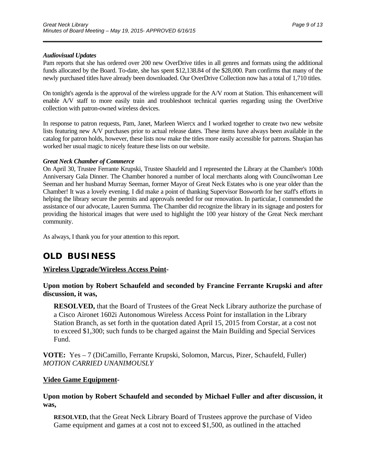#### *Audiovisual Updates*

Pam reports that she has ordered over 200 new OverDrive titles in all genres and formats using the additional funds allocated by the Board. To-date, she has spent \$12,138.84 of the \$28,000. Pam confirms that many of the newly purchased titles have already been downloaded. Our OverDrive Collection now has a total of 1,710 titles.

\_\_\_\_\_\_\_\_\_\_\_\_\_\_\_\_\_\_\_\_\_\_\_\_\_\_\_\_\_\_\_\_\_\_\_\_\_\_\_\_\_\_\_\_\_\_\_\_\_\_\_\_\_\_\_\_\_\_\_\_\_\_\_\_\_\_\_\_\_\_

On tonight's agenda is the approval of the wireless upgrade for the A/V room at Station. This enhancement will enable A/V staff to more easily train and troubleshoot technical queries regarding using the OverDrive collection with patron-owned wireless devices.

In response to patron requests, Pam, Janet, Marleen Wiercx and I worked together to create two new website lists featuring new A/V purchases prior to actual release dates. These items have always been available in the catalog for patron holds, however, these lists now make the titles more easily accessible for patrons. Shuqian has worked her usual magic to nicely feature these lists on our website.

#### *Great Neck Chamber of Commerce*

On April 30, Trustee Ferrante Krupski, Trustee Shaufeld and I represented the Library at the Chamber's 100th Anniversary Gala Dinner. The Chamber honored a number of local merchants along with Councilwoman Lee Seeman and her husband Murray Seeman, former Mayor of Great Neck Estates who is one year older than the Chamber! It was a lovely evening. I did make a point of thanking Supervisor Bosworth for her staff's efforts in helping the library secure the permits and approvals needed for our renovation. In particular, I commended the assistance of our advocate, Lauren Summa. The Chamber did recognize the library in its signage and posters for providing the historical images that were used to highlight the 100 year history of the Great Neck merchant community.

As always, I thank you for your attention to this report.

## **OLD BUSINESS**

## **Wireless Upgrade/Wireless Access Point-**

**Upon motion by Robert Schaufeld and seconded by Francine Ferrante Krupski and after discussion, it was,** 

**RESOLVED,** that the Board of Trustees of the Great Neck Library authorize the purchase of a Cisco Aironet 1602i Autonomous Wireless Access Point for installation in the Library Station Branch, as set forth in the quotation dated April 15, 2015 from Corstar, at a cost not to exceed \$1,300; such funds to be charged against the Main Building and Special Services Fund.

**VOTE:** Yes – 7 (DiCamillo, Ferrante Krupski, Solomon, Marcus, Pizer, Schaufeld, Fuller) *MOTION CARRIED UNANIMOUSLY* 

## **Video Game Equipment-**

## **Upon motion by Robert Schaufeld and seconded by Michael Fuller and after discussion, it was,**

**RESOLVED,** that the Great Neck Library Board of Trustees approve the purchase of Video Game equipment and games at a cost not to exceed \$1,500, as outlined in the attached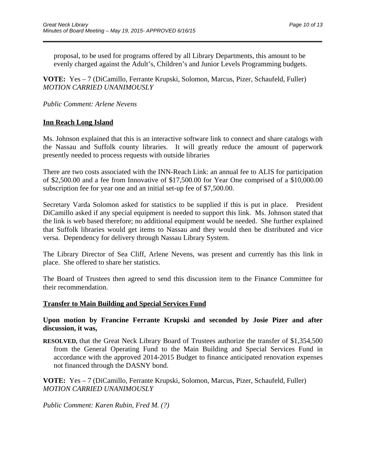proposal, to be used for programs offered by all Library Departments, this amount to be evenly charged against the Adult's, Children's and Junior Levels Programming budgets.

\_\_\_\_\_\_\_\_\_\_\_\_\_\_\_\_\_\_\_\_\_\_\_\_\_\_\_\_\_\_\_\_\_\_\_\_\_\_\_\_\_\_\_\_\_\_\_\_\_\_\_\_\_\_\_\_\_\_\_\_\_\_\_\_\_\_\_\_\_\_

**VOTE:** Yes – 7 (DiCamillo, Ferrante Krupski, Solomon, Marcus, Pizer, Schaufeld, Fuller) *MOTION CARRIED UNANIMOUSLY* 

## *Public Comment: Arlene Nevens*

## **Inn Reach Long Island**

Ms. Johnson explained that this is an interactive software link to connect and share catalogs with the Nassau and Suffolk county libraries. It will greatly reduce the amount of paperwork presently needed to process requests with outside libraries

There are two costs associated with the INN-Reach Link: an annual fee to ALIS for participation of \$2,500.00 and a fee from Innovative of \$17,500.00 for Year One comprised of a \$10,000.00 subscription fee for year one and an initial set-up fee of \$7,500.00.

Secretary Varda Solomon asked for statistics to be supplied if this is put in place. President DiCamillo asked if any special equipment is needed to support this link. Ms. Johnson stated that the link is web based therefore; no additional equipment would be needed. She further explained that Suffolk libraries would get items to Nassau and they would then be distributed and vice versa. Dependency for delivery through Nassau Library System.

The Library Director of Sea Cliff, Arlene Nevens, was present and currently has this link in place. She offered to share her statistics.

The Board of Trustees then agreed to send this discussion item to the Finance Committee for their recommendation.

## **Transfer to Main Building and Special Services Fund**

**Upon motion by Francine Ferrante Krupski and seconded by Josie Pizer and after discussion, it was,** 

**RESOLVED,** that the Great Neck Library Board of Trustees authorize the transfer of \$1,354,500 from the General Operating Fund to the Main Building and Special Services Fund in accordance with the approved 2014-2015 Budget to finance anticipated renovation expenses not financed through the DASNY bond.

**VOTE:** Yes – 7 (DiCamillo, Ferrante Krupski, Solomon, Marcus, Pizer, Schaufeld, Fuller) *MOTION CARRIED UNANIMOUSLY* 

*Public Comment: Karen Rubin, Fred M. (?)*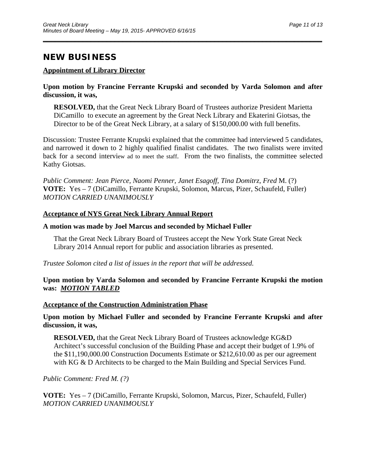## **NEW BUSINESS**

## **Appointment of Library Director**

## **Upon motion by Francine Ferrante Krupski and seconded by Varda Solomon and after discussion, it was,**

\_\_\_\_\_\_\_\_\_\_\_\_\_\_\_\_\_\_\_\_\_\_\_\_\_\_\_\_\_\_\_\_\_\_\_\_\_\_\_\_\_\_\_\_\_\_\_\_\_\_\_\_\_\_\_\_\_\_\_\_\_\_\_\_\_\_\_\_\_\_

**RESOLVED,** that the Great Neck Library Board of Trustees authorize President Marietta DiCamillo to execute an agreement by the Great Neck Library and Ekaterini Giotsas, the Director to be of the Great Neck Library, at a salary of \$150,000.00 with full benefits.

Discussion: Trustee Ferrante Krupski explained that the committee had interviewed 5 candidates, and narrowed it down to 2 highly qualified finalist candidates. The two finalists were invited back for a second interview ad to meet the staff. From the two finalists, the committee selected Kathy Giotsas.

*Public Comment: Jean Pierce, Naomi Penner, Janet Esagoff, Tina Domitrz, Fred* M. (?) **VOTE:** Yes – 7 (DiCamillo, Ferrante Krupski, Solomon, Marcus, Pizer, Schaufeld, Fuller) *MOTION CARRIED UNANIMOUSLY* 

## **Acceptance of NYS Great Neck Library Annual Report**

## **A motion was made by Joel Marcus and seconded by Michael Fuller**

That the Great Neck Library Board of Trustees accept the New York State Great Neck Library 2014 Annual report for public and association libraries as presented.

*Trustee Solomon cited a list of issues in the report that will be addressed.* 

## **Upon motion by Varda Solomon and seconded by Francine Ferrante Krupski the motion was:** *MOTION TABLED*

## **Acceptance of the Construction Administration Phase**

**Upon motion by Michael Fuller and seconded by Francine Ferrante Krupski and after discussion, it was,** 

**RESOLVED,** that the Great Neck Library Board of Trustees acknowledge KG&D Architect's successful conclusion of the Building Phase and accept their budget of 1.9% of the \$11,190,000.00 Construction Documents Estimate or \$212,610.00 as per our agreement with KG & D Architects to be charged to the Main Building and Special Services Fund.

*Public Comment: Fred M. (?)* 

**VOTE:** Yes – 7 (DiCamillo, Ferrante Krupski, Solomon, Marcus, Pizer, Schaufeld, Fuller) *MOTION CARRIED UNANIMOUSLY*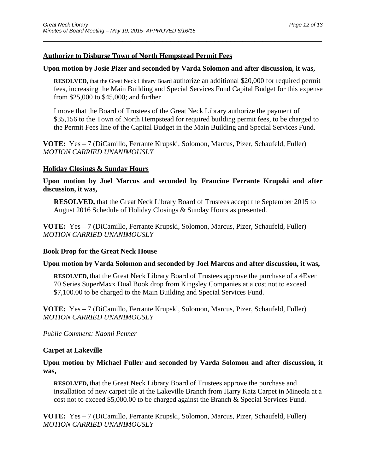## **Authorize to Disburse Town of North Hempstead Permit Fees**

### **Upon motion by Josie Pizer and seconded by Varda Solomon and after discussion, it was,**

\_\_\_\_\_\_\_\_\_\_\_\_\_\_\_\_\_\_\_\_\_\_\_\_\_\_\_\_\_\_\_\_\_\_\_\_\_\_\_\_\_\_\_\_\_\_\_\_\_\_\_\_\_\_\_\_\_\_\_\_\_\_\_\_\_\_\_\_\_\_

**RESOLVED,** that the Great Neck Library Board authorize an additional \$20,000 for required permit fees, increasing the Main Building and Special Services Fund Capital Budget for this expense from \$25,000 to \$45,000; and further

I move that the Board of Trustees of the Great Neck Library authorize the payment of \$35,156 to the Town of North Hempstead for required building permit fees, to be charged to the Permit Fees line of the Capital Budget in the Main Building and Special Services Fund.

**VOTE:** Yes – 7 (DiCamillo, Ferrante Krupski, Solomon, Marcus, Pizer, Schaufeld, Fuller) *MOTION CARRIED UNANIMOUSLY* 

## **Holiday Closings & Sunday Hours**

**Upon motion by Joel Marcus and seconded by Francine Ferrante Krupski and after discussion, it was,** 

**RESOLVED,** that the Great Neck Library Board of Trustees accept the September 2015 to August 2016 Schedule of Holiday Closings & Sunday Hours as presented.

**VOTE:** Yes – 7 (DiCamillo, Ferrante Krupski, Solomon, Marcus, Pizer, Schaufeld, Fuller) *MOTION CARRIED UNANIMOUSLY* 

## **Book Drop for the Great Neck House**

## **Upon motion by Varda Solomon and seconded by Joel Marcus and after discussion, it was,**

**RESOLVED,** that the Great Neck Library Board of Trustees approve the purchase of a 4Ever 70 Series SuperMaxx Dual Book drop from Kingsley Companies at a cost not to exceed \$7,100.00 to be charged to the Main Building and Special Services Fund.

**VOTE:** Yes – 7 (DiCamillo, Ferrante Krupski, Solomon, Marcus, Pizer, Schaufeld, Fuller) *MOTION CARRIED UNANIMOUSLY* 

## *Public Comment: Naomi Penner*

## **Carpet at Lakeville**

## **Upon motion by Michael Fuller and seconded by Varda Solomon and after discussion, it was,**

**RESOLVED,** that the Great Neck Library Board of Trustees approve the purchase and installation of new carpet tile at the Lakeville Branch from Harry Katz Carpet in Mineola at a cost not to exceed \$5,000.00 to be charged against the Branch & Special Services Fund.

**VOTE:** Yes – 7 (DiCamillo, Ferrante Krupski, Solomon, Marcus, Pizer, Schaufeld, Fuller) *MOTION CARRIED UNANIMOUSLY*